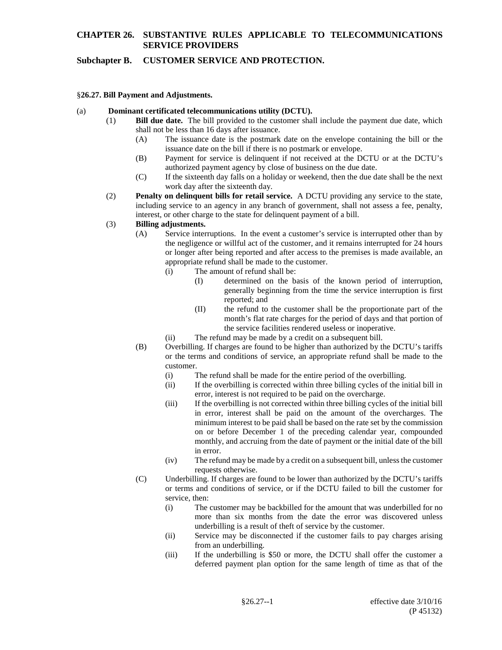### **Subchapter B. CUSTOMER SERVICE AND PROTECTION.**

#### §**26.27. Bill Payment and Adjustments.**

#### (a) **Dominant certificated telecommunications utility (DCTU).**

- (1) **Bill due date.** The bill provided to the customer shall include the payment due date, which shall not be less than 16 days after issuance.
	- (A) The issuance date is the postmark date on the envelope containing the bill or the issuance date on the bill if there is no postmark or envelope.
	- (B) Payment for service is delinquent if not received at the DCTU or at the DCTU's authorized payment agency by close of business on the due date.
	- (C) If the sixteenth day falls on a holiday or weekend, then the due date shall be the next work day after the sixteenth day.
- (2) **Penalty on delinquent bills for retail service.** A DCTU providing any service to the state, including service to an agency in any branch of government, shall not assess a fee, penalty, interest, or other charge to the state for delinquent payment of a bill.

#### (3) **Billing adjustments.**

- (A) Service interruptions. In the event a customer's service is interrupted other than by the negligence or willful act of the customer, and it remains interrupted for 24 hours or longer after being reported and after access to the premises is made available, an appropriate refund shall be made to the customer.
	- (i) The amount of refund shall be:
		- (I) determined on the basis of the known period of interruption, generally beginning from the time the service interruption is first reported; and
		- (II) the refund to the customer shall be the proportionate part of the month's flat rate charges for the period of days and that portion of the service facilities rendered useless or inoperative.
	- (ii) The refund may be made by a credit on a subsequent bill.
- (B) Overbilling. If charges are found to be higher than authorized by the DCTU's tariffs or the terms and conditions of service, an appropriate refund shall be made to the customer.
	- (i) The refund shall be made for the entire period of the overbilling.<br>(ii) If the overbilling is corrected within three billing cycles of the in
	- If the overbilling is corrected within three billing cycles of the initial bill in error, interest is not required to be paid on the overcharge.
	- (iii) If the overbilling is not corrected within three billing cycles of the initial bill in error, interest shall be paid on the amount of the overcharges. The minimum interest to be paid shall be based on the rate set by the commission on or before December 1 of the preceding calendar year, compounded monthly, and accruing from the date of payment or the initial date of the bill in error.
	- (iv) The refund may be made by a credit on a subsequent bill, unless the customer requests otherwise.
- (C) Underbilling. If charges are found to be lower than authorized by the DCTU's tariffs or terms and conditions of service, or if the DCTU failed to bill the customer for service, then:
	- (i) The customer may be backbilled for the amount that was underbilled for no more than six months from the date the error was discovered unless underbilling is a result of theft of service by the customer.
	- (ii) Service may be disconnected if the customer fails to pay charges arising from an underbilling.
	- (iii) If the underbilling is \$50 or more, the DCTU shall offer the customer a deferred payment plan option for the same length of time as that of the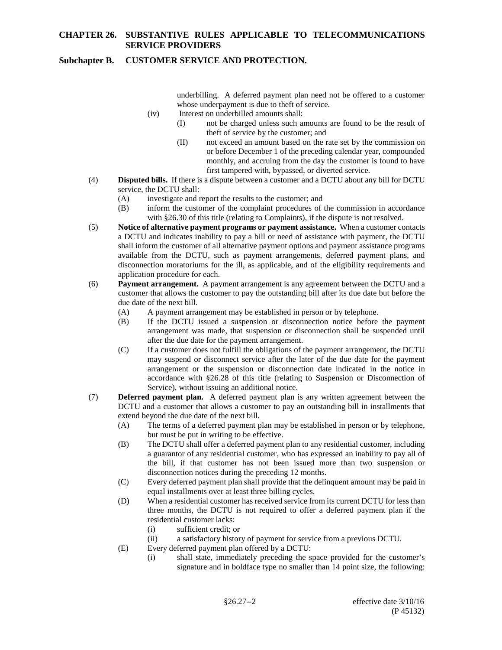### **Subchapter B. CUSTOMER SERVICE AND PROTECTION.**

underbilling. A deferred payment plan need not be offered to a customer whose underpayment is due to theft of service.

- (iv) Interest on underbilled amounts shall:
	- (I) not be charged unless such amounts are found to be the result of theft of service by the customer; and
	- (II) not exceed an amount based on the rate set by the commission on or before December 1 of the preceding calendar year, compounded monthly, and accruing from the day the customer is found to have first tampered with, bypassed, or diverted service.
- (4) **Disputed bills.** If there is a dispute between a customer and a DCTU about any bill for DCTU service, the DCTU shall:
	- (A) investigate and report the results to the customer; and
	- (B) inform the customer of the complaint procedures of the commission in accordance with §26.30 of this title (relating to Complaints), if the dispute is not resolved.
- (5) **Notice of alternative payment programs or payment assistance.** When a customer contacts a DCTU and indicates inability to pay a bill or need of assistance with payment, the DCTU shall inform the customer of all alternative payment options and payment assistance programs available from the DCTU, such as payment arrangements, deferred payment plans, and disconnection moratoriums for the ill, as applicable, and of the eligibility requirements and application procedure for each.
- (6) **Payment arrangement.** A payment arrangement is any agreement between the DCTU and a customer that allows the customer to pay the outstanding bill after its due date but before the due date of the next bill.
	- (A) A payment arrangement may be established in person or by telephone.
	- (B) If the DCTU issued a suspension or disconnection notice before the payment arrangement was made, that suspension or disconnection shall be suspended until after the due date for the payment arrangement.
	- (C) If a customer does not fulfill the obligations of the payment arrangement, the DCTU may suspend or disconnect service after the later of the due date for the payment arrangement or the suspension or disconnection date indicated in the notice in accordance with §26.28 of this title (relating to Suspension or Disconnection of Service), without issuing an additional notice.
- (7) **Deferred payment plan.** A deferred payment plan is any written agreement between the DCTU and a customer that allows a customer to pay an outstanding bill in installments that extend beyond the due date of the next bill.
	- (A) The terms of a deferred payment plan may be established in person or by telephone, but must be put in writing to be effective.
	- (B) The DCTU shall offer a deferred payment plan to any residential customer, including a guarantor of any residential customer, who has expressed an inability to pay all of the bill, if that customer has not been issued more than two suspension or disconnection notices during the preceding 12 months.
	- (C) Every deferred payment plan shall provide that the delinquent amount may be paid in equal installments over at least three billing cycles.
	- (D) When a residential customer has received service from its current DCTU for less than three months, the DCTU is not required to offer a deferred payment plan if the residential customer lacks:
		- (i) sufficient credit; or
		- (ii) a satisfactory history of payment for service from a previous DCTU.
	- (E) Every deferred payment plan offered by a DCTU:
		- (i) shall state, immediately preceding the space provided for the customer's signature and in boldface type no smaller than 14 point size, the following: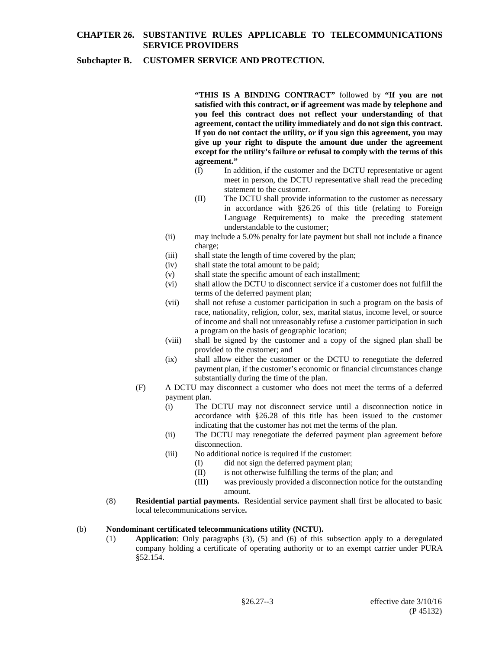### **Subchapter B. CUSTOMER SERVICE AND PROTECTION.**

**"THIS IS A BINDING CONTRACT"** followed by **"If you are not satisfied with this contract, or if agreement was made by telephone and you feel this contract does not reflect your understanding of that agreement, contact the utility immediately and do not sign this contract. If you do not contact the utility, or if you sign this agreement, you may give up your right to dispute the amount due under the agreement except for the utility's failure or refusal to comply with the terms of this agreement."**

- (I) In addition, if the customer and the DCTU representative or agent meet in person, the DCTU representative shall read the preceding statement to the customer.
- (II) The DCTU shall provide information to the customer as necessary in accordance with §26.26 of this title (relating to Foreign Language Requirements) to make the preceding statement understandable to the customer;
- (ii) may include a 5.0% penalty for late payment but shall not include a finance charge;
- (iii) shall state the length of time covered by the plan;
- (iv) shall state the total amount to be paid;
- (v) shall state the specific amount of each installment;
- (vi) shall allow the DCTU to disconnect service if a customer does not fulfill the terms of the deferred payment plan;
- (vii) shall not refuse a customer participation in such a program on the basis of race, nationality, religion, color, sex, marital status, income level, or source of income and shall not unreasonably refuse a customer participation in such a program on the basis of geographic location;
- (viii) shall be signed by the customer and a copy of the signed plan shall be provided to the customer; and
- (ix) shall allow either the customer or the DCTU to renegotiate the deferred payment plan, if the customer's economic or financial circumstances change substantially during the time of the plan.
- (F) A DCTU may disconnect a customer who does not meet the terms of a deferred payment plan.
	- (i) The DCTU may not disconnect service until a disconnection notice in accordance with §26.28 of this title has been issued to the customer indicating that the customer has not met the terms of the plan.
	- (ii) The DCTU may renegotiate the deferred payment plan agreement before disconnection.
	- (iii) No additional notice is required if the customer:
		- (I) did not sign the deferred payment plan;
		- (II) is not otherwise fulfilling the terms of the plan; and
		- (III) was previously provided a disconnection notice for the outstanding amount.
- (8) **Residential partial payments.** Residential service payment shall first be allocated to basic local telecommunications service**.**

### (b) **Nondominant certificated telecommunications utility (NCTU).**

(1) **Application**: Only paragraphs (3), (5) and (6) of this subsection apply to a deregulated company holding a certificate of operating authority or to an exempt carrier under PURA §52.154.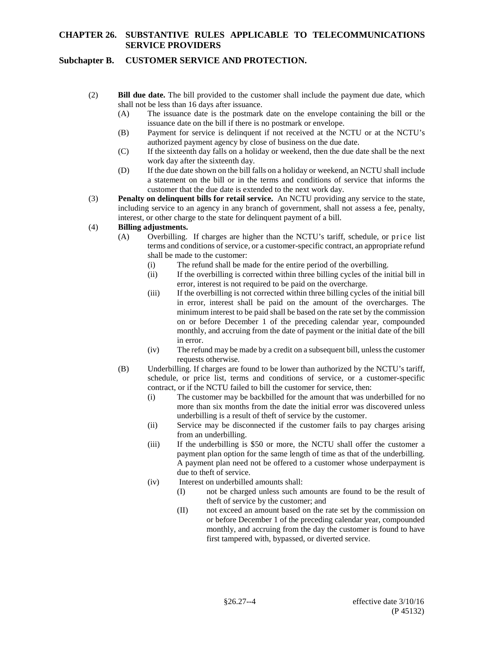## **Subchapter B. CUSTOMER SERVICE AND PROTECTION.**

- (2) **Bill due date.** The bill provided to the customer shall include the payment due date, which shall not be less than 16 days after issuance.
	- (A) The issuance date is the postmark date on the envelope containing the bill or the issuance date on the bill if there is no postmark or envelope.
	- (B) Payment for service is delinquent if not received at the NCTU or at the NCTU's authorized payment agency by close of business on the due date.
	- (C) If the sixteenth day falls on a holiday or weekend, then the due date shall be the next work day after the sixteenth day.
	- (D) If the due date shown on the bill falls on a holiday or weekend, an NCTU shall include a statement on the bill or in the terms and conditions of service that informs the customer that the due date is extended to the next work day.
- (3) **Penalty on delinquent bills for retail service.** An NCTU providing any service to the state, including service to an agency in any branch of government, shall not assess a fee, penalty, interest, or other charge to the state for delinquent payment of a bill.

#### (4) **Billing adjustments.**

- (A) Overbilling. If charges are higher than the NCTU's tariff, schedule, or price list terms and conditions of service, or a customer-specific contract, an appropriate refund shall be made to the customer:
	- (i) The refund shall be made for the entire period of the overbilling.
	- (ii) If the overbilling is corrected within three billing cycles of the initial bill in error, interest is not required to be paid on the overcharge.
	- (iii) If the overbilling is not corrected within three billing cycles of the initial bill in error, interest shall be paid on the amount of the overcharges. The minimum interest to be paid shall be based on the rate set by the commission on or before December 1 of the preceding calendar year, compounded monthly, and accruing from the date of payment or the initial date of the bill in error.
	- (iv) The refund may be made by a credit on a subsequent bill, unless the customer requests otherwise.
- (B) Underbilling. If charges are found to be lower than authorized by the NCTU's tariff, schedule, or price list, terms and conditions of service, or a customer-specific contract, or if the NCTU failed to bill the customer for service, then:
	- (i) The customer may be backbilled for the amount that was underbilled for no more than six months from the date the initial error was discovered unless underbilling is a result of theft of service by the customer.
	- (ii) Service may be disconnected if the customer fails to pay charges arising from an underbilling.
	- (iii) If the underbilling is \$50 or more, the NCTU shall offer the customer a payment plan option for the same length of time as that of the underbilling. A payment plan need not be offered to a customer whose underpayment is due to theft of service.
	- (iv) Interest on underbilled amounts shall:
		- (I) not be charged unless such amounts are found to be the result of theft of service by the customer; and
		- (II) not exceed an amount based on the rate set by the commission on or before December 1 of the preceding calendar year, compounded monthly, and accruing from the day the customer is found to have first tampered with, bypassed, or diverted service.